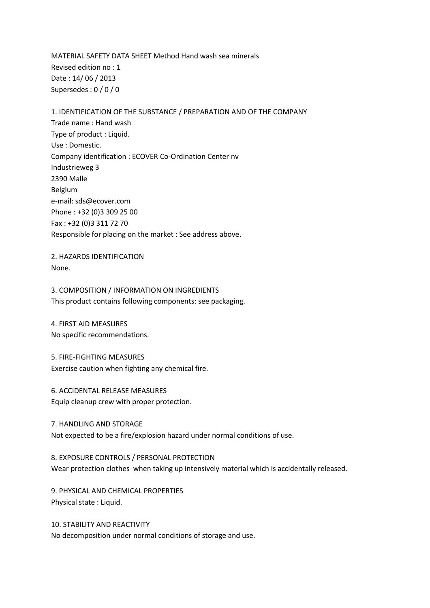MATERIAL SAFETY DATA SHEET Method Hand wash sea minerals Revised edition no : 1 Date : 14/ 06 / 2013 Supersedes : 0 / 0 / 0

1. IDENTIFICATION OF THE SUBSTANCE / PREPARATION AND OF THE COMPANY Trade name : Hand wash Type of product : Liquid. Use : Domestic. Company identification : ECOVER Co-Ordination Center nv Industrieweg 3 2390 Malle Belgium e-mail: sds@ecover.com Phone : +32 (0)3 309 25 00 Fax : +32 (0)3 311 72 70 Responsible for placing on the market : See address above.

2. HAZARDS IDENTIFICATION None.

3. COMPOSITION / INFORMATION ON INGREDIENTS This product contains following components: see packaging.

4. FIRST AID MEASURES No specific recommendations.

5. FIRE-FIGHTING MEASURES Exercise caution when fighting any chemical fire.

6. ACCIDENTAL RELEASE MEASURES Equip cleanup crew with proper protection.

7. HANDLING AND STORAGE Not expected to be a fire/explosion hazard under normal conditions of use.

8. EXPOSURE CONTROLS / PERSONAL PROTECTION Wear protection clothes when taking up intensively material which is accidentally released.

9. PHYSICAL AND CHEMICAL PROPERTIES Physical state : Liquid.

10. STABILITY AND REACTIVITY No decomposition under normal conditions of storage and use.